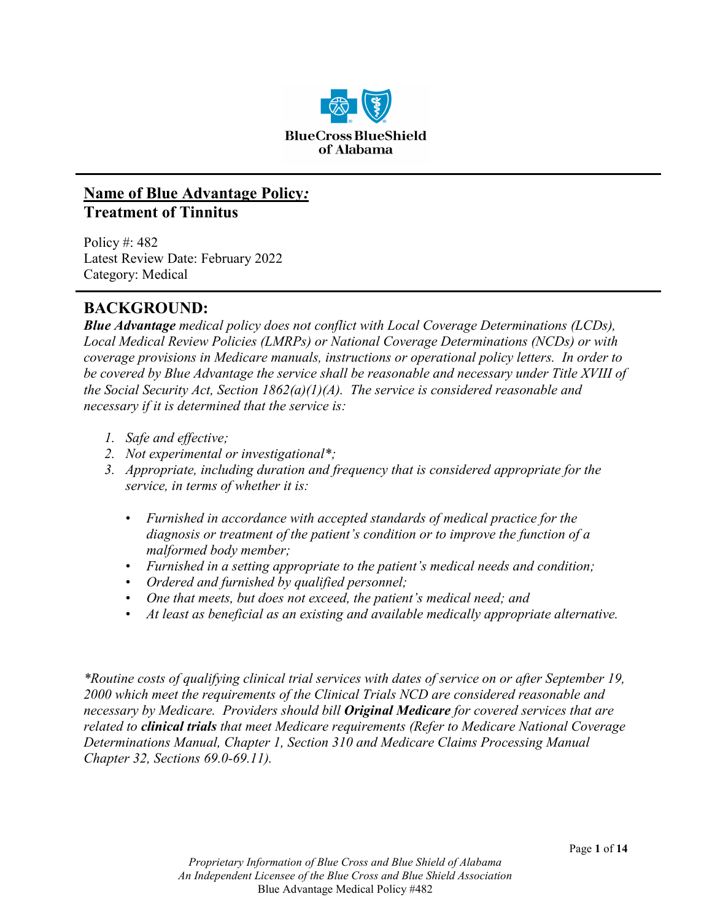

## **Name of Blue Advantage Policy***:* **Treatment of Tinnitus**

Policy #: 482 Latest Review Date: February 2022 Category: Medical

## **BACKGROUND:**

*Blue Advantage medical policy does not conflict with Local Coverage Determinations (LCDs), Local Medical Review Policies (LMRPs) or National Coverage Determinations (NCDs) or with coverage provisions in Medicare manuals, instructions or operational policy letters. In order to be covered by Blue Advantage the service shall be reasonable and necessary under Title XVIII of the Social Security Act, Section 1862(a)(1)(A). The service is considered reasonable and necessary if it is determined that the service is:*

- *1. Safe and effective;*
- *2. Not experimental or investigational\*;*
- *3. Appropriate, including duration and frequency that is considered appropriate for the service, in terms of whether it is:*
	- *Furnished in accordance with accepted standards of medical practice for the diagnosis or treatment of the patient's condition or to improve the function of a malformed body member;*
	- *Furnished in a setting appropriate to the patient's medical needs and condition;*
	- *Ordered and furnished by qualified personnel;*
	- *One that meets, but does not exceed, the patient's medical need; and*
	- *At least as beneficial as an existing and available medically appropriate alternative.*

*\*Routine costs of qualifying clinical trial services with dates of service on or after September 19, 2000 which meet the requirements of the Clinical Trials NCD are considered reasonable and necessary by Medicare. Providers should bill Original Medicare for covered services that are related to clinical trials that meet Medicare requirements (Refer to Medicare National Coverage Determinations Manual, Chapter 1, Section 310 and Medicare Claims Processing Manual Chapter 32, Sections 69.0-69.11).*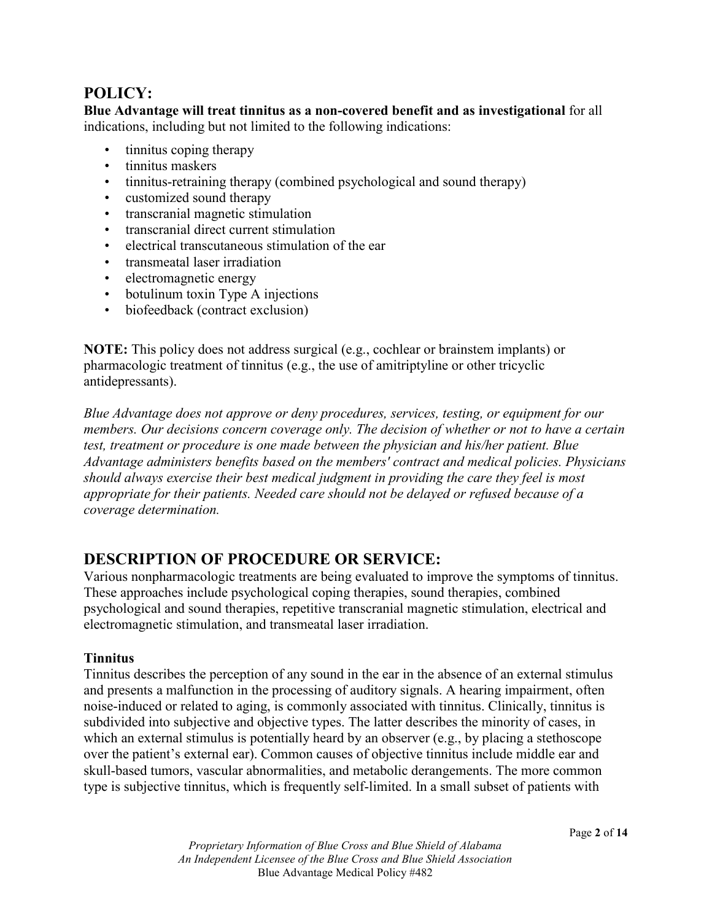## **POLICY:**

**Blue Advantage will treat tinnitus as a non-covered benefit and as investigational** for all indications, including but not limited to the following indications:

- tinnitus coping therapy
- tinnitus maskers
- tinnitus-retraining therapy (combined psychological and sound therapy)
- customized sound therapy
- transcranial magnetic stimulation
- transcranial direct current stimulation
- electrical transcutaneous stimulation of the ear
- transmeatal laser irradiation
- electromagnetic energy
- botulinum toxin Type A injections
- biofeedback (contract exclusion)

**NOTE:** This policy does not address surgical (e.g., cochlear or brainstem implants) or pharmacologic treatment of tinnitus (e.g., the use of amitriptyline or other tricyclic antidepressants).

*Blue Advantage does not approve or deny procedures, services, testing, or equipment for our members. Our decisions concern coverage only. The decision of whether or not to have a certain test, treatment or procedure is one made between the physician and his/her patient. Blue Advantage administers benefits based on the members' contract and medical policies. Physicians should always exercise their best medical judgment in providing the care they feel is most appropriate for their patients. Needed care should not be delayed or refused because of a coverage determination.*

# **DESCRIPTION OF PROCEDURE OR SERVICE:**

Various nonpharmacologic treatments are being evaluated to improve the symptoms of tinnitus. These approaches include psychological coping therapies, sound therapies, combined psychological and sound therapies, repetitive transcranial magnetic stimulation, electrical and electromagnetic stimulation, and transmeatal laser irradiation.

### **Tinnitus**

Tinnitus describes the perception of any sound in the ear in the absence of an external stimulus and presents a malfunction in the processing of auditory signals. A hearing impairment, often noise-induced or related to aging, is commonly associated with tinnitus. Clinically, tinnitus is subdivided into subjective and objective types. The latter describes the minority of cases, in which an external stimulus is potentially heard by an observer (e.g., by placing a stethoscope over the patient's external ear). Common causes of objective tinnitus include middle ear and skull-based tumors, vascular abnormalities, and metabolic derangements. The more common type is subjective tinnitus, which is frequently self-limited. In a small subset of patients with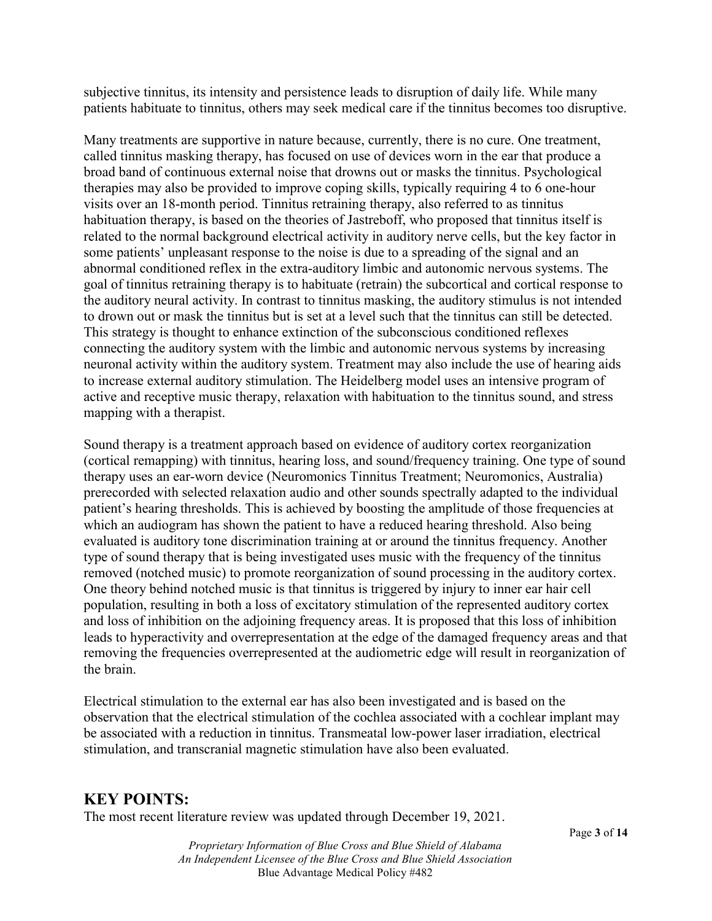subjective tinnitus, its intensity and persistence leads to disruption of daily life. While many patients habituate to tinnitus, others may seek medical care if the tinnitus becomes too disruptive.

Many treatments are supportive in nature because, currently, there is no cure. One treatment, called tinnitus masking therapy, has focused on use of devices worn in the ear that produce a broad band of continuous external noise that drowns out or masks the tinnitus. Psychological therapies may also be provided to improve coping skills, typically requiring 4 to 6 one-hour visits over an 18-month period. Tinnitus retraining therapy, also referred to as tinnitus habituation therapy, is based on the theories of Jastreboff, who proposed that tinnitus itself is related to the normal background electrical activity in auditory nerve cells, but the key factor in some patients' unpleasant response to the noise is due to a spreading of the signal and an abnormal conditioned reflex in the extra-auditory limbic and autonomic nervous systems. The goal of tinnitus retraining therapy is to habituate (retrain) the subcortical and cortical response to the auditory neural activity. In contrast to tinnitus masking, the auditory stimulus is not intended to drown out or mask the tinnitus but is set at a level such that the tinnitus can still be detected. This strategy is thought to enhance extinction of the subconscious conditioned reflexes connecting the auditory system with the limbic and autonomic nervous systems by increasing neuronal activity within the auditory system. Treatment may also include the use of hearing aids to increase external auditory stimulation. The Heidelberg model uses an intensive program of active and receptive music therapy, relaxation with habituation to the tinnitus sound, and stress mapping with a therapist.

Sound therapy is a treatment approach based on evidence of auditory cortex reorganization (cortical remapping) with tinnitus, hearing loss, and sound/frequency training. One type of sound therapy uses an ear-worn device (Neuromonics Tinnitus Treatment; Neuromonics, Australia) prerecorded with selected relaxation audio and other sounds spectrally adapted to the individual patient's hearing thresholds. This is achieved by boosting the amplitude of those frequencies at which an audiogram has shown the patient to have a reduced hearing threshold. Also being evaluated is auditory tone discrimination training at or around the tinnitus frequency. Another type of sound therapy that is being investigated uses music with the frequency of the tinnitus removed (notched music) to promote reorganization of sound processing in the auditory cortex. One theory behind notched music is that tinnitus is triggered by injury to inner ear hair cell population, resulting in both a loss of excitatory stimulation of the represented auditory cortex and loss of inhibition on the adjoining frequency areas. It is proposed that this loss of inhibition leads to hyperactivity and overrepresentation at the edge of the damaged frequency areas and that removing the frequencies overrepresented at the audiometric edge will result in reorganization of the brain.

Electrical stimulation to the external ear has also been investigated and is based on the observation that the electrical stimulation of the cochlea associated with a cochlear implant may be associated with a reduction in tinnitus. Transmeatal low-power laser irradiation, electrical stimulation, and transcranial magnetic stimulation have also been evaluated.

## **KEY POINTS:**

The most recent literature review was updated through December 19, 2021.

*Proprietary Information of Blue Cross and Blue Shield of Alabama An Independent Licensee of the Blue Cross and Blue Shield Association* Blue Advantage Medical Policy #482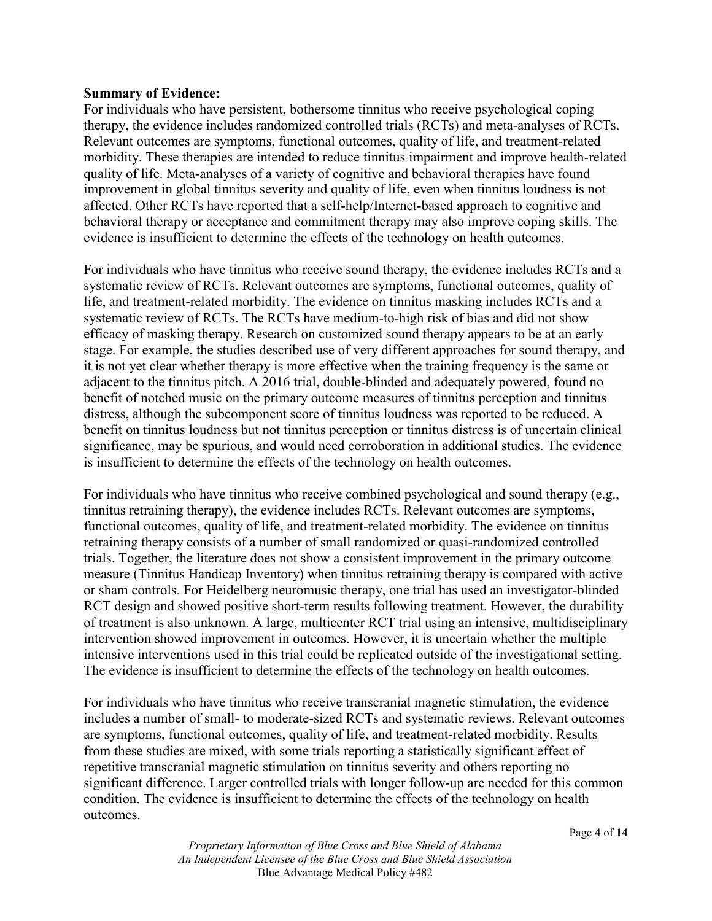#### **Summary of Evidence:**

For individuals who have persistent, bothersome tinnitus who receive psychological coping therapy, the evidence includes randomized controlled trials (RCTs) and meta-analyses of RCTs. Relevant outcomes are symptoms, functional outcomes, quality of life, and treatment-related morbidity. These therapies are intended to reduce tinnitus impairment and improve health-related quality of life. Meta-analyses of a variety of cognitive and behavioral therapies have found improvement in global tinnitus severity and quality of life, even when tinnitus loudness is not affected. Other RCTs have reported that a self-help/Internet-based approach to cognitive and behavioral therapy or acceptance and commitment therapy may also improve coping skills. The evidence is insufficient to determine the effects of the technology on health outcomes.

For individuals who have tinnitus who receive sound therapy, the evidence includes RCTs and a systematic review of RCTs. Relevant outcomes are symptoms, functional outcomes, quality of life, and treatment-related morbidity. The evidence on tinnitus masking includes RCTs and a systematic review of RCTs. The RCTs have medium-to-high risk of bias and did not show efficacy of masking therapy. Research on customized sound therapy appears to be at an early stage. For example, the studies described use of very different approaches for sound therapy, and it is not yet clear whether therapy is more effective when the training frequency is the same or adjacent to the tinnitus pitch. A 2016 trial, double-blinded and adequately powered, found no benefit of notched music on the primary outcome measures of tinnitus perception and tinnitus distress, although the subcomponent score of tinnitus loudness was reported to be reduced. A benefit on tinnitus loudness but not tinnitus perception or tinnitus distress is of uncertain clinical significance, may be spurious, and would need corroboration in additional studies. The evidence is insufficient to determine the effects of the technology on health outcomes.

For individuals who have tinnitus who receive combined psychological and sound therapy (e.g., tinnitus retraining therapy), the evidence includes RCTs. Relevant outcomes are symptoms, functional outcomes, quality of life, and treatment-related morbidity. The evidence on tinnitus retraining therapy consists of a number of small randomized or quasi-randomized controlled trials. Together, the literature does not show a consistent improvement in the primary outcome measure (Tinnitus Handicap Inventory) when tinnitus retraining therapy is compared with active or sham controls. For Heidelberg neuromusic therapy, one trial has used an investigator-blinded RCT design and showed positive short-term results following treatment. However, the durability of treatment is also unknown. A large, multicenter RCT trial using an intensive, multidisciplinary intervention showed improvement in outcomes. However, it is uncertain whether the multiple intensive interventions used in this trial could be replicated outside of the investigational setting. The evidence is insufficient to determine the effects of the technology on health outcomes.

For individuals who have tinnitus who receive transcranial magnetic stimulation, the evidence includes a number of small- to moderate-sized RCTs and systematic reviews. Relevant outcomes are symptoms, functional outcomes, quality of life, and treatment-related morbidity. Results from these studies are mixed, with some trials reporting a statistically significant effect of repetitive transcranial magnetic stimulation on tinnitus severity and others reporting no significant difference. Larger controlled trials with longer follow-up are needed for this common condition. The evidence is insufficient to determine the effects of the technology on health outcomes.

> *Proprietary Information of Blue Cross and Blue Shield of Alabama An Independent Licensee of the Blue Cross and Blue Shield Association* Blue Advantage Medical Policy #482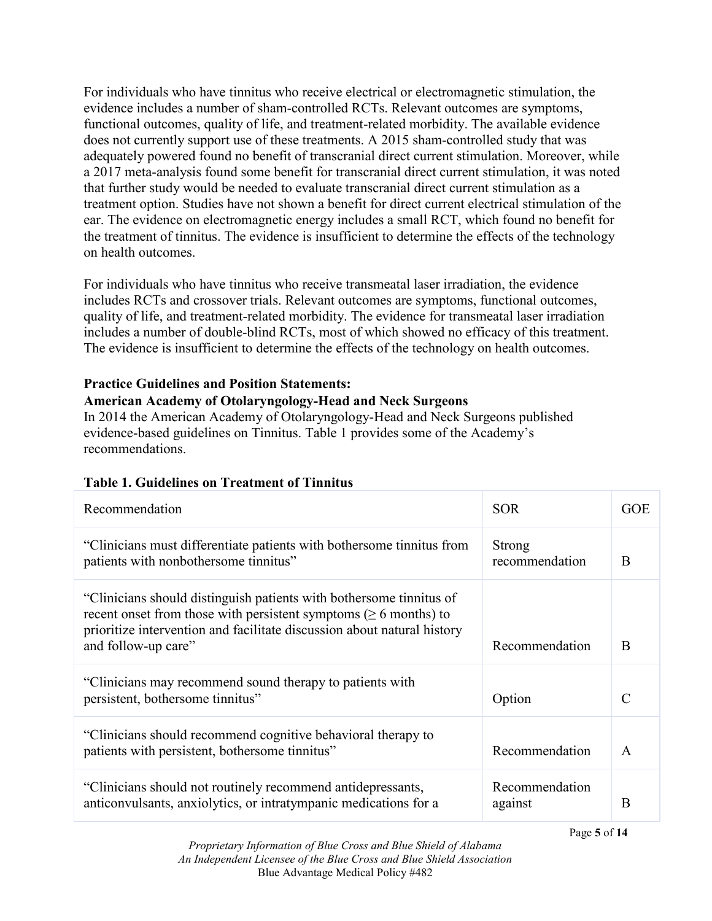For individuals who have tinnitus who receive electrical or electromagnetic stimulation, the evidence includes a number of sham-controlled RCTs. Relevant outcomes are symptoms, functional outcomes, quality of life, and treatment-related morbidity. The available evidence does not currently support use of these treatments. A 2015 sham-controlled study that was adequately powered found no benefit of transcranial direct current stimulation. Moreover, while a 2017 meta-analysis found some benefit for transcranial direct current stimulation, it was noted that further study would be needed to evaluate transcranial direct current stimulation as a treatment option. Studies have not shown a benefit for direct current electrical stimulation of the ear. The evidence on electromagnetic energy includes a small RCT, which found no benefit for the treatment of tinnitus. The evidence is insufficient to determine the effects of the technology on health outcomes.

For individuals who have tinnitus who receive transmeatal laser irradiation, the evidence includes RCTs and crossover trials. Relevant outcomes are symptoms, functional outcomes, quality of life, and treatment-related morbidity. The evidence for transmeatal laser irradiation includes a number of double-blind RCTs, most of which showed no efficacy of this treatment. The evidence is insufficient to determine the effects of the technology on health outcomes.

### **Practice Guidelines and Position Statements:**

### **American Academy of Otolaryngology-Head and Neck Surgeons**

In 2014 the American Academy of Otolaryngology-Head and Neck Surgeons published evidence-based guidelines on Tinnitus. Table 1 provides some of the Academy's recommendations.

| Recommendation                                                                                                                                                                                                                                  | <b>SOR</b>                | <b>GOE</b>    |
|-------------------------------------------------------------------------------------------------------------------------------------------------------------------------------------------------------------------------------------------------|---------------------------|---------------|
| "Clinicians must differentiate patients with bothersome tinnitus from<br>patients with nonbothersome tinnitus"                                                                                                                                  | Strong<br>recommendation  | B             |
| "Clinicians should distinguish patients with bothersome tinnitus of<br>recent onset from those with persistent symptoms ( $\geq 6$ months) to<br>prioritize intervention and facilitate discussion about natural history<br>and follow-up care" | Recommendation            | B             |
| "Clinicians may recommend sound therapy to patients with<br>persistent, bothersome tinnitus"                                                                                                                                                    | Option                    | $\mathcal{C}$ |
| "Clinicians should recommend cognitive behavioral therapy to<br>patients with persistent, bothersome tinnitus"                                                                                                                                  | Recommendation            | $\mathsf{A}$  |
| "Clinicians should not routinely recommend antidepressants,<br>anticonvulsants, anxiolytics, or intratympanic medications for a                                                                                                                 | Recommendation<br>against | B             |

## **Table 1. Guidelines on Treatment of Tinnitus**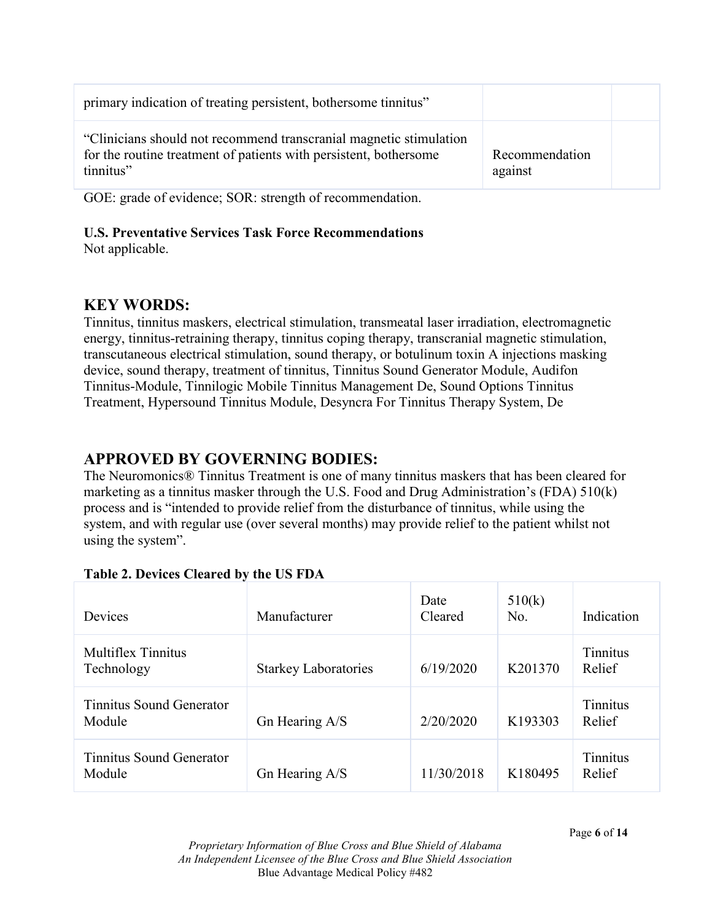| primary indication of treating persistent, bothersome tinnitus"                                                                                      |                           |  |
|------------------------------------------------------------------------------------------------------------------------------------------------------|---------------------------|--|
| "Clinicians should not recommend transcranial magnetic stimulation<br>for the routine treatment of patients with persistent, bothersome<br>tinnitus" | Recommendation<br>against |  |

GOE: grade of evidence; SOR: strength of recommendation.

# **U.S. Preventative Services Task Force Recommendations**

Not applicable.

# **KEY WORDS:**

Tinnitus, tinnitus maskers, electrical stimulation, transmeatal laser irradiation, electromagnetic energy, tinnitus-retraining therapy, tinnitus coping therapy, transcranial magnetic stimulation, transcutaneous electrical stimulation, sound therapy, or botulinum toxin A injections masking device, sound therapy, treatment of tinnitus, Tinnitus Sound Generator Module, Audifon Tinnitus-Module, Tinnilogic Mobile Tinnitus Management De, Sound Options Tinnitus Treatment, Hypersound Tinnitus Module, Desyncra For Tinnitus Therapy System, De

# **APPROVED BY GOVERNING BODIES:**

The Neuromonics® Tinnitus Treatment is one of many tinnitus maskers that has been cleared for marketing as a tinnitus masker through the U.S. Food and Drug Administration's (FDA) 510(k) process and is "intended to provide relief from the disturbance of tinnitus, while using the system, and with regular use (over several months) may provide relief to the patient whilst not using the system".

| Devices                            | Manufacturer                | Date<br>Cleared | 510(k)<br>No. | Indication                |
|------------------------------------|-----------------------------|-----------------|---------------|---------------------------|
| Multiflex Tinnitus<br>Technology   | <b>Starkey Laboratories</b> | 6/19/2020       | K201370       | <b>Tinnitus</b><br>Relief |
| Tinnitus Sound Generator<br>Module | Gn Hearing A/S              | 2/20/2020       | K193303       | Tinnitus<br>Relief        |
| Tinnitus Sound Generator<br>Module | Gn Hearing A/S              | 11/30/2018      | K180495       | Tinnitus<br>Relief        |

# **Table 2. Devices Cleared by the US FDA**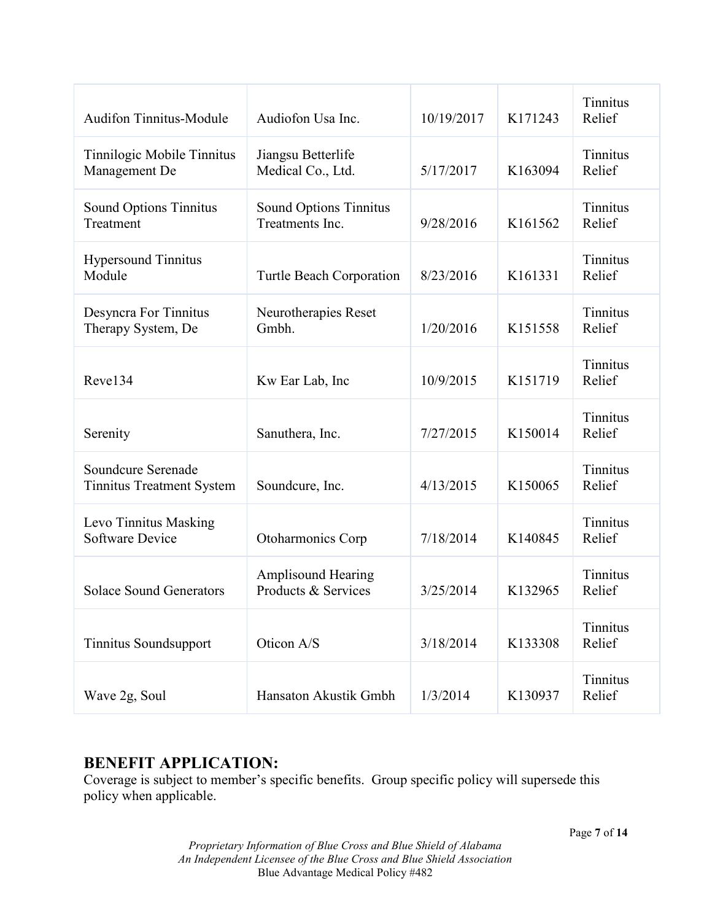| <b>Audifon Tinnitus-Module</b>                         | Audiofon Usa Inc.                                | 10/19/2017 | K171243 | Tinnitus<br>Relief        |
|--------------------------------------------------------|--------------------------------------------------|------------|---------|---------------------------|
| Tinnilogic Mobile Tinnitus<br>Management De            | Jiangsu Betterlife<br>Medical Co., Ltd.          | 5/17/2017  | K163094 | <b>Tinnitus</b><br>Relief |
| Sound Options Tinnitus<br>Treatment                    | Sound Options Tinnitus<br>Treatments Inc.        | 9/28/2016  | K161562 | Tinnitus<br>Relief        |
| <b>Hypersound Tinnitus</b><br>Module                   | Turtle Beach Corporation                         | 8/23/2016  | K161331 | <b>Tinnitus</b><br>Relief |
| Desyncra For Tinnitus<br>Therapy System, De            | Neurotherapies Reset<br>Gmbh.                    | 1/20/2016  | K151558 | <b>Tinnitus</b><br>Relief |
| Reve134                                                | Kw Ear Lab, Inc                                  | 10/9/2015  | K151719 | Tinnitus<br>Relief        |
| Serenity                                               | Sanuthera, Inc.                                  | 7/27/2015  | K150014 | Tinnitus<br>Relief        |
| Soundcure Serenade<br><b>Tinnitus Treatment System</b> | Soundcure, Inc.                                  | 4/13/2015  | K150065 | <b>Tinnitus</b><br>Relief |
| Levo Tinnitus Masking<br><b>Software Device</b>        | Otoharmonics Corp                                | 7/18/2014  | K140845 | <b>Tinnitus</b><br>Relief |
| <b>Solace Sound Generators</b>                         | <b>Amplisound Hearing</b><br>Products & Services | 3/25/2014  | K132965 | Tinnitus<br>Relief        |
| <b>Tinnitus Soundsupport</b>                           | Oticon A/S                                       | 3/18/2014  | K133308 | Tinnitus<br>Relief        |
| Wave 2g, Soul                                          | Hansaton Akustik Gmbh                            | 1/3/2014   | K130937 | Tinnitus<br>Relief        |

## **BENEFIT APPLICATION:**

Coverage is subject to member's specific benefits. Group specific policy will supersede this policy when applicable.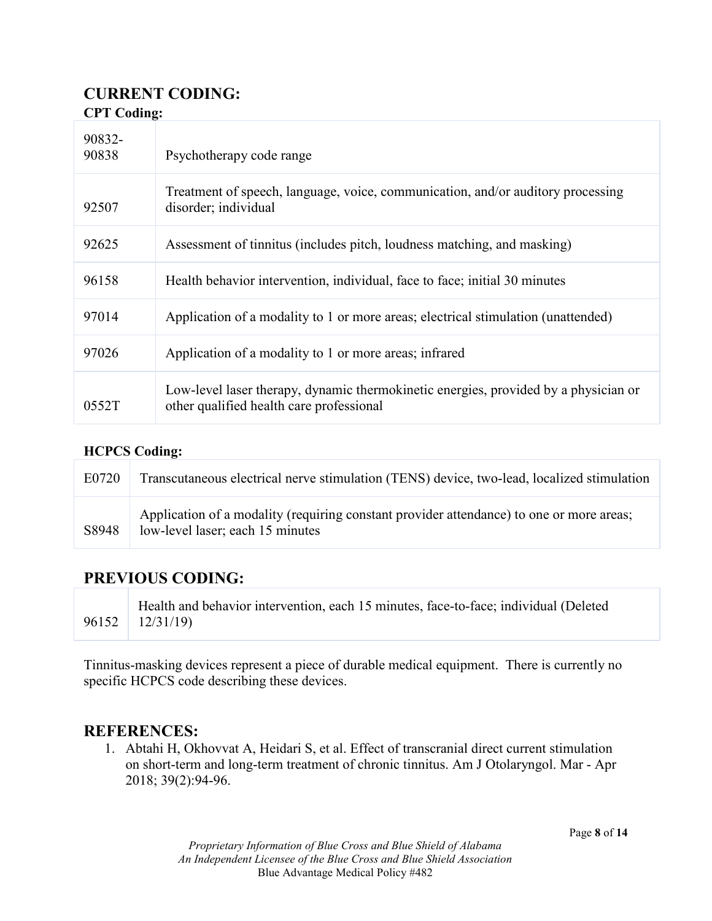### **CURRENT CODING: CPT Coding:**

| $\sim$ . $\sim$ $\sim$ $\sim$ $\sim$ $\sim$ $\sim$ |                                                                                                                                 |  |
|----------------------------------------------------|---------------------------------------------------------------------------------------------------------------------------------|--|
| 90832-<br>90838                                    | Psychotherapy code range                                                                                                        |  |
| 92507                                              | Treatment of speech, language, voice, communication, and/or auditory processing<br>disorder; individual                         |  |
| 92625                                              | Assessment of tinnitus (includes pitch, loudness matching, and masking)                                                         |  |
| 96158                                              | Health behavior intervention, individual, face to face; initial 30 minutes                                                      |  |
| 97014                                              | Application of a modality to 1 or more areas; electrical stimulation (unattended)                                               |  |
| 97026                                              | Application of a modality to 1 or more areas; infrared                                                                          |  |
| 0552T                                              | Low-level laser therapy, dynamic thermokinetic energies, provided by a physician or<br>other qualified health care professional |  |

## **HCPCS Coding:**

| E0720 | Transcutaneous electrical nerve stimulation (TENS) device, two-lead, localized stimulation                                   |
|-------|------------------------------------------------------------------------------------------------------------------------------|
| S8948 | Application of a modality (requiring constant provider attendance) to one or more areas;<br>low-level laser; each 15 minutes |

## **PREVIOUS CODING:**

96152 Health and behavior intervention, each 15 minutes, face-to-face; individual (Deleted 12/31/19)

Tinnitus-masking devices represent a piece of durable medical equipment. There is currently no specific HCPCS code describing these devices.

## **REFERENCES:**

1. Abtahi H, Okhovvat A, Heidari S, et al. Effect of transcranial direct current stimulation on short-term and long-term treatment of chronic tinnitus. Am J Otolaryngol. Mar - Apr 2018; 39(2):94-96.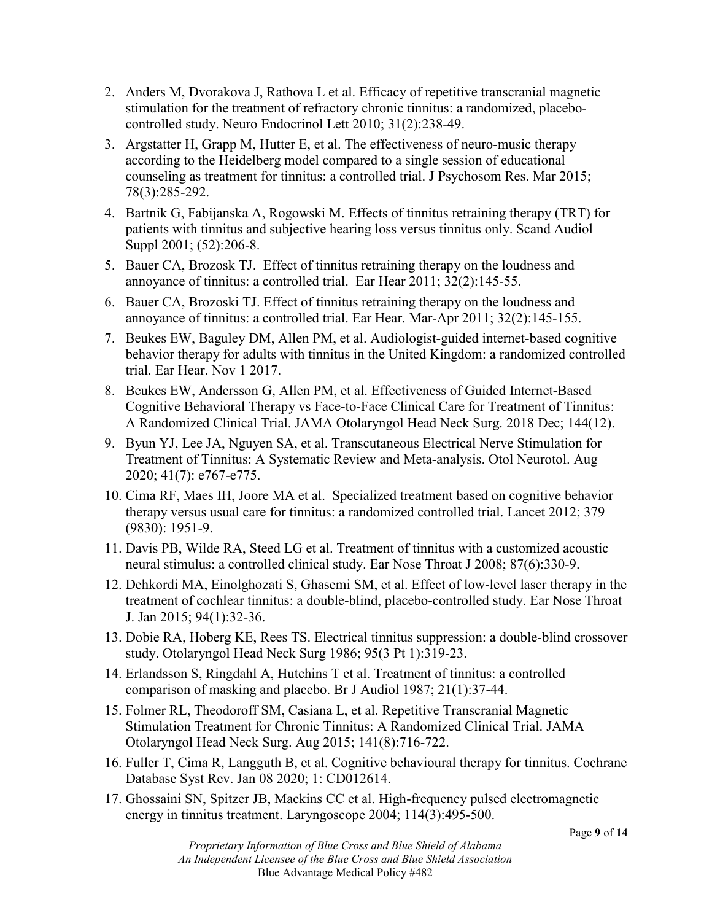- 2. Anders M, Dvorakova J, Rathova L et al. Efficacy of repetitive transcranial magnetic stimulation for the treatment of refractory chronic tinnitus: a randomized, placebocontrolled study. Neuro Endocrinol Lett 2010; 31(2):238-49.
- 3. Argstatter H, Grapp M, Hutter E, et al. The effectiveness of neuro-music therapy according to the Heidelberg model compared to a single session of educational counseling as treatment for tinnitus: a controlled trial. J Psychosom Res. Mar 2015; 78(3):285-292.
- 4. Bartnik G, Fabijanska A, Rogowski M. Effects of tinnitus retraining therapy (TRT) for patients with tinnitus and subjective hearing loss versus tinnitus only. Scand Audiol Suppl 2001; (52):206-8.
- 5. Bauer CA, Brozosk TJ. Effect of tinnitus retraining therapy on the loudness and annoyance of tinnitus: a controlled trial. Ear Hear 2011; 32(2):145-55.
- 6. Bauer CA, Brozoski TJ. Effect of tinnitus retraining therapy on the loudness and annoyance of tinnitus: a controlled trial. Ear Hear. Mar-Apr 2011; 32(2):145-155.
- 7. Beukes EW, Baguley DM, Allen PM, et al. Audiologist-guided internet-based cognitive behavior therapy for adults with tinnitus in the United Kingdom: a randomized controlled trial. Ear Hear. Nov 1 2017.
- 8. Beukes EW, Andersson G, Allen PM, et al. Effectiveness of Guided Internet-Based Cognitive Behavioral Therapy vs Face-to-Face Clinical Care for Treatment of Tinnitus: A Randomized Clinical Trial. JAMA Otolaryngol Head Neck Surg. 2018 Dec; 144(12).
- 9. Byun YJ, Lee JA, Nguyen SA, et al. Transcutaneous Electrical Nerve Stimulation for Treatment of Tinnitus: A Systematic Review and Meta-analysis. Otol Neurotol. Aug 2020; 41(7): e767-e775.
- 10. Cima RF, Maes IH, Joore MA et al. Specialized treatment based on cognitive behavior therapy versus usual care for tinnitus: a randomized controlled trial. Lancet 2012; 379 (9830): 1951-9.
- 11. Davis PB, Wilde RA, Steed LG et al. Treatment of tinnitus with a customized acoustic neural stimulus: a controlled clinical study. Ear Nose Throat J 2008; 87(6):330-9.
- 12. Dehkordi MA, Einolghozati S, Ghasemi SM, et al. Effect of low-level laser therapy in the treatment of cochlear tinnitus: a double-blind, placebo-controlled study. Ear Nose Throat J. Jan 2015; 94(1):32-36.
- 13. Dobie RA, Hoberg KE, Rees TS. Electrical tinnitus suppression: a double-blind crossover study. Otolaryngol Head Neck Surg 1986; 95(3 Pt 1):319-23.
- 14. Erlandsson S, Ringdahl A, Hutchins T et al. Treatment of tinnitus: a controlled comparison of masking and placebo. Br J Audiol 1987; 21(1):37-44.
- 15. Folmer RL, Theodoroff SM, Casiana L, et al. Repetitive Transcranial Magnetic Stimulation Treatment for Chronic Tinnitus: A Randomized Clinical Trial. JAMA Otolaryngol Head Neck Surg. Aug 2015; 141(8):716-722.
- 16. Fuller T, Cima R, Langguth B, et al. Cognitive behavioural therapy for tinnitus. Cochrane Database Syst Rev. Jan 08 2020; 1: CD012614.
- 17. Ghossaini SN, Spitzer JB, Mackins CC et al. High-frequency pulsed electromagnetic energy in tinnitus treatment. Laryngoscope 2004; 114(3):495-500.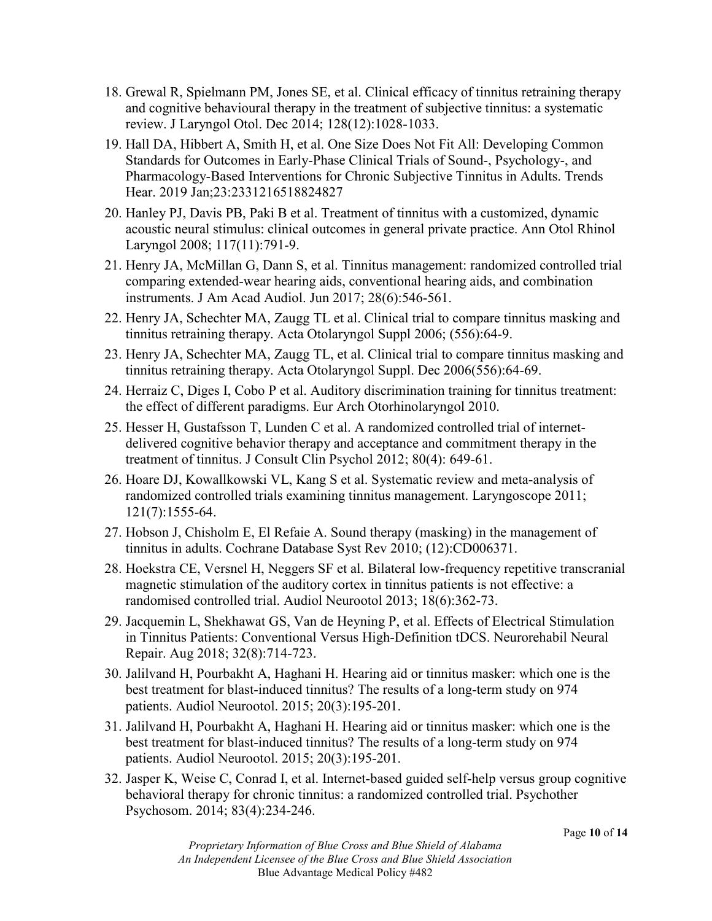- 18. Grewal R, Spielmann PM, Jones SE, et al. Clinical efficacy of tinnitus retraining therapy and cognitive behavioural therapy in the treatment of subjective tinnitus: a systematic review. J Laryngol Otol. Dec 2014; 128(12):1028-1033.
- 19. Hall DA, Hibbert A, Smith H, et al. One Size Does Not Fit All: Developing Common Standards for Outcomes in Early-Phase Clinical Trials of Sound-, Psychology-, and Pharmacology-Based Interventions for Chronic Subjective Tinnitus in Adults. Trends Hear. 2019 Jan;23:2331216518824827
- 20. Hanley PJ, Davis PB, Paki B et al. Treatment of tinnitus with a customized, dynamic acoustic neural stimulus: clinical outcomes in general private practice. Ann Otol Rhinol Laryngol 2008; 117(11):791-9.
- 21. Henry JA, McMillan G, Dann S, et al. Tinnitus management: randomized controlled trial comparing extended-wear hearing aids, conventional hearing aids, and combination instruments. J Am Acad Audiol. Jun 2017; 28(6):546-561.
- 22. Henry JA, Schechter MA, Zaugg TL et al. Clinical trial to compare tinnitus masking and tinnitus retraining therapy. Acta Otolaryngol Suppl 2006; (556):64-9.
- 23. Henry JA, Schechter MA, Zaugg TL, et al. Clinical trial to compare tinnitus masking and tinnitus retraining therapy. Acta Otolaryngol Suppl. Dec 2006(556):64-69.
- 24. Herraiz C, Diges I, Cobo P et al. Auditory discrimination training for tinnitus treatment: the effect of different paradigms. Eur Arch Otorhinolaryngol 2010.
- 25. Hesser H, Gustafsson T, Lunden C et al. A randomized controlled trial of internetdelivered cognitive behavior therapy and acceptance and commitment therapy in the treatment of tinnitus. J Consult Clin Psychol 2012; 80(4): 649-61.
- 26. Hoare DJ, Kowallkowski VL, Kang S et al. Systematic review and meta-analysis of randomized controlled trials examining tinnitus management. Laryngoscope 2011; 121(7):1555-64.
- 27. Hobson J, Chisholm E, El Refaie A. Sound therapy (masking) in the management of tinnitus in adults. Cochrane Database Syst Rev 2010; (12):CD006371.
- 28. Hoekstra CE, Versnel H, Neggers SF et al. Bilateral low-frequency repetitive transcranial magnetic stimulation of the auditory cortex in tinnitus patients is not effective: a randomised controlled trial. Audiol Neurootol 2013; 18(6):362-73.
- 29. Jacquemin L, Shekhawat GS, Van de Heyning P, et al. Effects of Electrical Stimulation in Tinnitus Patients: Conventional Versus High-Definition tDCS. Neurorehabil Neural Repair. Aug 2018; 32(8):714-723.
- 30. Jalilvand H, Pourbakht A, Haghani H. Hearing aid or tinnitus masker: which one is the best treatment for blast-induced tinnitus? The results of a long-term study on 974 patients. Audiol Neurootol. 2015; 20(3):195-201.
- 31. Jalilvand H, Pourbakht A, Haghani H. Hearing aid or tinnitus masker: which one is the best treatment for blast-induced tinnitus? The results of a long-term study on 974 patients. Audiol Neurootol. 2015; 20(3):195-201.
- 32. Jasper K, Weise C, Conrad I, et al. Internet-based guided self-help versus group cognitive behavioral therapy for chronic tinnitus: a randomized controlled trial. Psychother Psychosom. 2014; 83(4):234-246.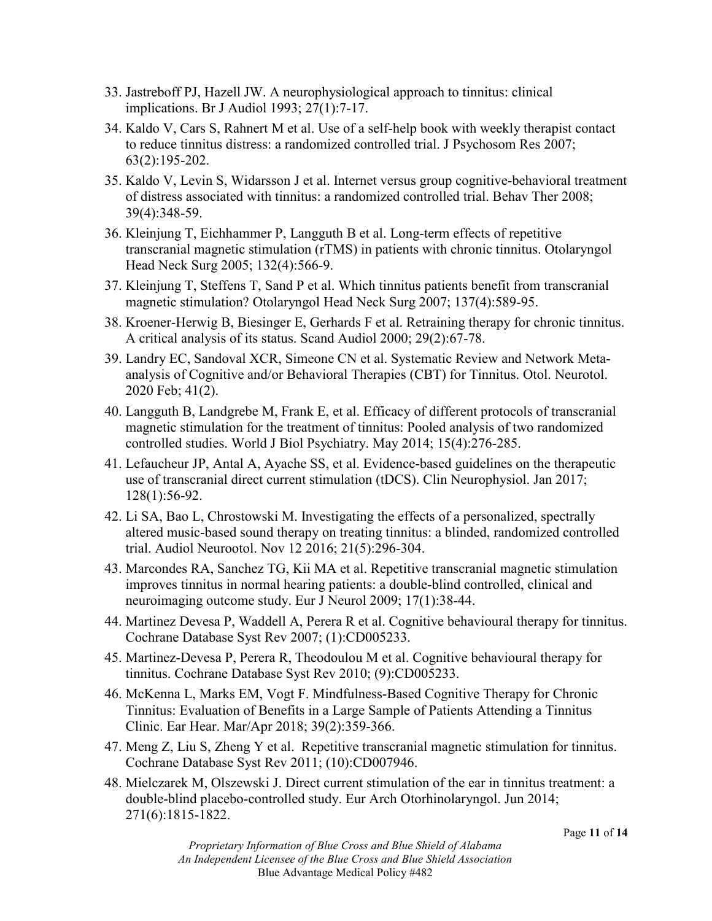- 33. Jastreboff PJ, Hazell JW. A neurophysiological approach to tinnitus: clinical implications. Br J Audiol 1993; 27(1):7-17.
- 34. Kaldo V, Cars S, Rahnert M et al. Use of a self-help book with weekly therapist contact to reduce tinnitus distress: a randomized controlled trial. J Psychosom Res 2007; 63(2):195-202.
- 35. Kaldo V, Levin S, Widarsson J et al. Internet versus group cognitive-behavioral treatment of distress associated with tinnitus: a randomized controlled trial. Behav Ther 2008; 39(4):348-59.
- 36. Kleinjung T, Eichhammer P, Langguth B et al. Long-term effects of repetitive transcranial magnetic stimulation (rTMS) in patients with chronic tinnitus. Otolaryngol Head Neck Surg 2005; 132(4):566-9.
- 37. Kleinjung T, Steffens T, Sand P et al. Which tinnitus patients benefit from transcranial magnetic stimulation? Otolaryngol Head Neck Surg 2007; 137(4):589-95.
- 38. Kroener-Herwig B, Biesinger E, Gerhards F et al. Retraining therapy for chronic tinnitus. A critical analysis of its status. Scand Audiol 2000; 29(2):67-78.
- 39. Landry EC, Sandoval XCR, Simeone CN et al. Systematic Review and Network Metaanalysis of Cognitive and/or Behavioral Therapies (CBT) for Tinnitus. Otol. Neurotol. 2020 Feb; 41(2).
- 40. Langguth B, Landgrebe M, Frank E, et al. Efficacy of different protocols of transcranial magnetic stimulation for the treatment of tinnitus: Pooled analysis of two randomized controlled studies. World J Biol Psychiatry. May 2014; 15(4):276-285.
- 41. Lefaucheur JP, Antal A, Ayache SS, et al. Evidence-based guidelines on the therapeutic use of transcranial direct current stimulation (tDCS). Clin Neurophysiol. Jan 2017; 128(1):56-92.
- 42. Li SA, Bao L, Chrostowski M. Investigating the effects of a personalized, spectrally altered music-based sound therapy on treating tinnitus: a blinded, randomized controlled trial. Audiol Neurootol. Nov 12 2016; 21(5):296-304.
- 43. Marcondes RA, Sanchez TG, Kii MA et al. Repetitive transcranial magnetic stimulation improves tinnitus in normal hearing patients: a double-blind controlled, clinical and neuroimaging outcome study. Eur J Neurol 2009; 17(1):38-44.
- 44. Martinez Devesa P, Waddell A, Perera R et al. Cognitive behavioural therapy for tinnitus. Cochrane Database Syst Rev 2007; (1):CD005233.
- 45. Martinez-Devesa P, Perera R, Theodoulou M et al. Cognitive behavioural therapy for tinnitus. Cochrane Database Syst Rev 2010; (9):CD005233.
- 46. McKenna L, Marks EM, Vogt F. Mindfulness-Based Cognitive Therapy for Chronic Tinnitus: Evaluation of Benefits in a Large Sample of Patients Attending a Tinnitus Clinic. Ear Hear. Mar/Apr 2018; 39(2):359-366.
- 47. Meng Z, Liu S, Zheng Y et al. Repetitive transcranial magnetic stimulation for tinnitus. Cochrane Database Syst Rev 2011; (10):CD007946.
- 48. Mielczarek M, Olszewski J. Direct current stimulation of the ear in tinnitus treatment: a double-blind placebo-controlled study. Eur Arch Otorhinolaryngol. Jun 2014; 271(6):1815-1822.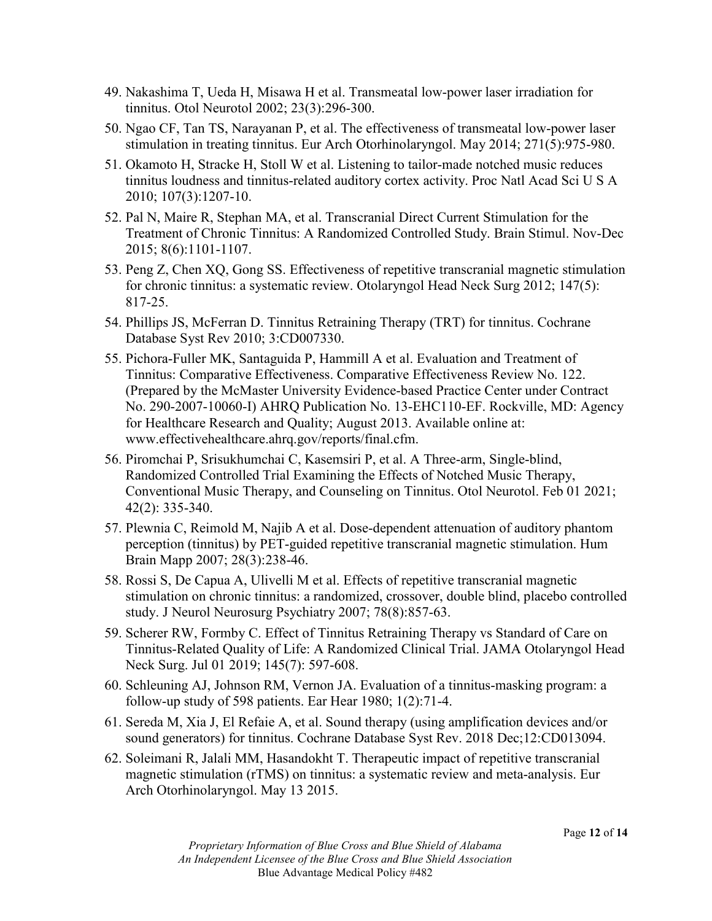- 49. Nakashima T, Ueda H, Misawa H et al. Transmeatal low-power laser irradiation for tinnitus. Otol Neurotol 2002; 23(3):296-300.
- 50. Ngao CF, Tan TS, Narayanan P, et al. The effectiveness of transmeatal low-power laser stimulation in treating tinnitus. Eur Arch Otorhinolaryngol. May 2014; 271(5):975-980.
- 51. Okamoto H, Stracke H, Stoll W et al. Listening to tailor-made notched music reduces tinnitus loudness and tinnitus-related auditory cortex activity. Proc Natl Acad Sci U S A 2010; 107(3):1207-10.
- 52. Pal N, Maire R, Stephan MA, et al. Transcranial Direct Current Stimulation for the Treatment of Chronic Tinnitus: A Randomized Controlled Study. Brain Stimul. Nov-Dec 2015; 8(6):1101-1107.
- 53. Peng Z, Chen XQ, Gong SS. Effectiveness of repetitive transcranial magnetic stimulation for chronic tinnitus: a systematic review. Otolaryngol Head Neck Surg 2012; 147(5): 817-25.
- 54. Phillips JS, McFerran D. Tinnitus Retraining Therapy (TRT) for tinnitus. Cochrane Database Syst Rev 2010; 3:CD007330.
- 55. Pichora-Fuller MK, Santaguida P, Hammill A et al. Evaluation and Treatment of Tinnitus: Comparative Effectiveness. Comparative Effectiveness Review No. 122. (Prepared by the McMaster University Evidence-based Practice Center under Contract No. 290-2007-10060-I) AHRQ Publication No. 13-EHC110-EF. Rockville, MD: Agency for Healthcare Research and Quality; August 2013. Available online at: www.effectivehealthcare.ahrq.gov/reports/final.cfm.
- 56. Piromchai P, Srisukhumchai C, Kasemsiri P, et al. A Three-arm, Single-blind, Randomized Controlled Trial Examining the Effects of Notched Music Therapy, Conventional Music Therapy, and Counseling on Tinnitus. Otol Neurotol. Feb 01 2021; 42(2): 335-340.
- 57. Plewnia C, Reimold M, Najib A et al. Dose-dependent attenuation of auditory phantom perception (tinnitus) by PET-guided repetitive transcranial magnetic stimulation. Hum Brain Mapp 2007; 28(3):238-46.
- 58. Rossi S, De Capua A, Ulivelli M et al. Effects of repetitive transcranial magnetic stimulation on chronic tinnitus: a randomized, crossover, double blind, placebo controlled study. J Neurol Neurosurg Psychiatry 2007; 78(8):857-63.
- 59. Scherer RW, Formby C. Effect of Tinnitus Retraining Therapy vs Standard of Care on Tinnitus-Related Quality of Life: A Randomized Clinical Trial. JAMA Otolaryngol Head Neck Surg. Jul 01 2019; 145(7): 597-608.
- 60. Schleuning AJ, Johnson RM, Vernon JA. Evaluation of a tinnitus-masking program: a follow-up study of 598 patients. Ear Hear 1980; 1(2):71-4.
- 61. Sereda M, Xia J, El Refaie A, et al. Sound therapy (using amplification devices and/or sound generators) for tinnitus. Cochrane Database Syst Rev. 2018 Dec;12:CD013094.
- 62. Soleimani R, Jalali MM, Hasandokht T. Therapeutic impact of repetitive transcranial magnetic stimulation (rTMS) on tinnitus: a systematic review and meta-analysis. Eur Arch Otorhinolaryngol. May 13 2015.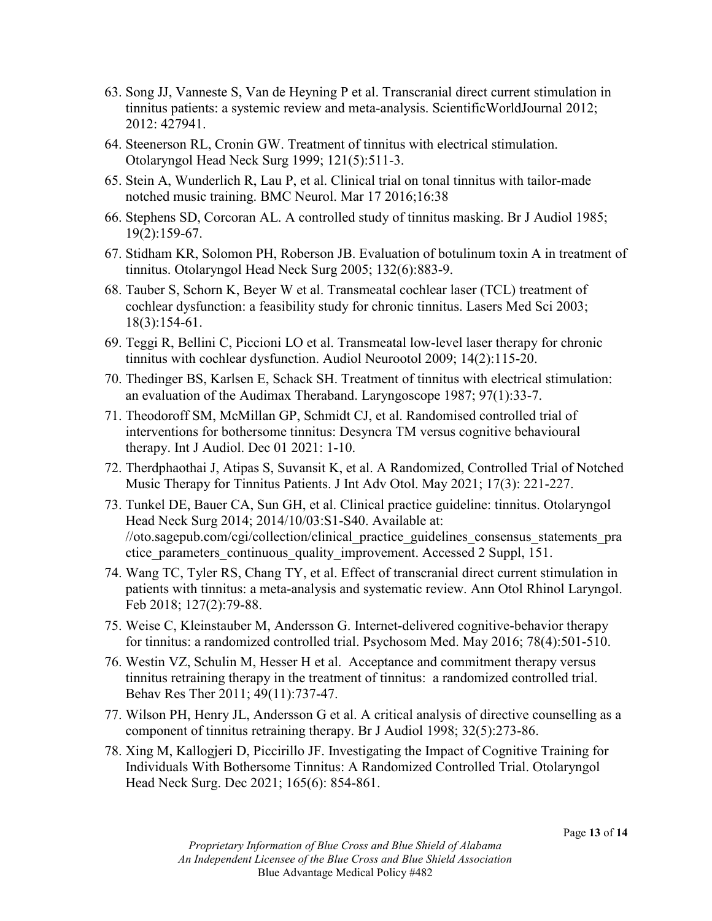- 63. Song JJ, Vanneste S, Van de Heyning P et al. Transcranial direct current stimulation in tinnitus patients: a systemic review and meta-analysis. ScientificWorldJournal 2012; 2012: 427941.
- 64. Steenerson RL, Cronin GW. Treatment of tinnitus with electrical stimulation. Otolaryngol Head Neck Surg 1999; 121(5):511-3.
- 65. Stein A, Wunderlich R, Lau P, et al. Clinical trial on tonal tinnitus with tailor-made notched music training. BMC Neurol. Mar 17 2016;16:38
- 66. Stephens SD, Corcoran AL. A controlled study of tinnitus masking. Br J Audiol 1985; 19(2):159-67.
- 67. Stidham KR, Solomon PH, Roberson JB. Evaluation of botulinum toxin A in treatment of tinnitus. Otolaryngol Head Neck Surg 2005; 132(6):883-9.
- 68. Tauber S, Schorn K, Beyer W et al. Transmeatal cochlear laser (TCL) treatment of cochlear dysfunction: a feasibility study for chronic tinnitus. Lasers Med Sci 2003; 18(3):154-61.
- 69. Teggi R, Bellini C, Piccioni LO et al. Transmeatal low-level laser therapy for chronic tinnitus with cochlear dysfunction. Audiol Neurootol 2009; 14(2):115-20.
- 70. Thedinger BS, Karlsen E, Schack SH. Treatment of tinnitus with electrical stimulation: an evaluation of the Audimax Theraband. Laryngoscope 1987; 97(1):33-7.
- 71. Theodoroff SM, McMillan GP, Schmidt CJ, et al. Randomised controlled trial of interventions for bothersome tinnitus: Desyncra TM versus cognitive behavioural therapy. Int J Audiol. Dec 01 2021: 1-10.
- 72. Therdphaothai J, Atipas S, Suvansit K, et al. A Randomized, Controlled Trial of Notched Music Therapy for Tinnitus Patients. J Int Adv Otol. May 2021; 17(3): 221-227.
- 73. Tunkel DE, Bauer CA, Sun GH, et al. Clinical practice guideline: tinnitus. Otolaryngol Head Neck Surg 2014; 2014/10/03:S1-S40. Available at: //oto.sagepub.com/cgi/collection/clinical\_practice\_guidelines\_consensus\_statements\_pra ctice parameters continuous quality improvement. Accessed 2 Suppl,  $\overline{151}$ .
- 74. Wang TC, Tyler RS, Chang TY, et al. Effect of transcranial direct current stimulation in patients with tinnitus: a meta-analysis and systematic review. Ann Otol Rhinol Laryngol. Feb 2018; 127(2):79-88.
- 75. Weise C, Kleinstauber M, Andersson G. Internet-delivered cognitive-behavior therapy for tinnitus: a randomized controlled trial. Psychosom Med. May 2016; 78(4):501-510.
- 76. Westin VZ, Schulin M, Hesser H et al. Acceptance and commitment therapy versus tinnitus retraining therapy in the treatment of tinnitus: a randomized controlled trial. Behav Res Ther 2011; 49(11):737-47.
- 77. Wilson PH, Henry JL, Andersson G et al. A critical analysis of directive counselling as a component of tinnitus retraining therapy. Br J Audiol 1998; 32(5):273-86.
- 78. Xing M, Kallogjeri D, Piccirillo JF. Investigating the Impact of Cognitive Training for Individuals With Bothersome Tinnitus: A Randomized Controlled Trial. Otolaryngol Head Neck Surg. Dec 2021; 165(6): 854-861.